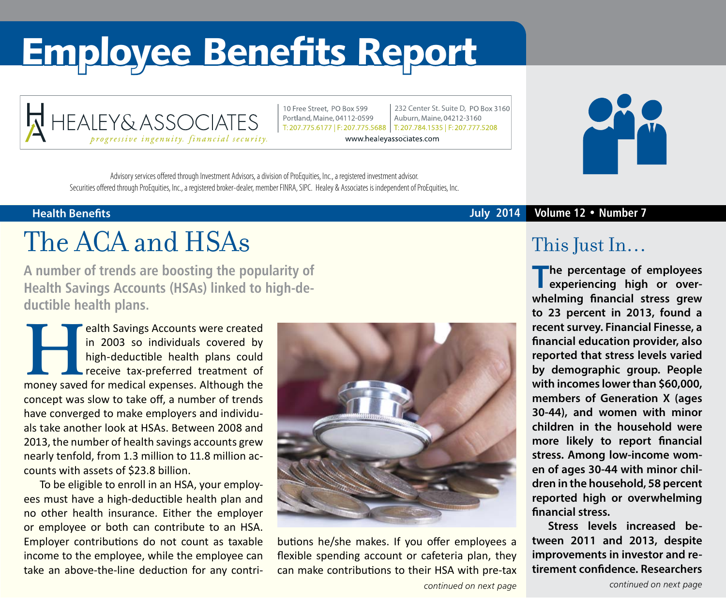# Employee Benefits Report



10 Free Street, PO Box 599 Portland, Maine, 04112-0599

232 Center St. Suite D. PO Box 3160 Auburn, Maine, 04212-3160 T: 207.775.6177 | F: 207.775.5688 | T: 207.784.1535 | F: 207.777.5208

www.healeyassociates.com



## The ACA and HSAs

**A number of trends are boosting the popularity of Health Savings Accounts (HSAs) linked to high-deductible health plans.**

**Health Savings Accounts were created in 2003 so individuals covered by high-deductible health plans could receive tax-preferred treatment of money saved for medical expenses. Although the** in 2003 so individuals covered by high-deductible health plans could receive tax-preferred treatment of concept was slow to take off, a number of trends have converged to make employers and individuals take another look at HSAs. Between 2008 and 2013, the number of health savings accounts grew nearly tenfold, from 1.3 million to 11.8 million accounts with assets of \$23.8 billion.

To be eligible to enroll in an HSA, your employees must have a high-deductible health plan and no other health insurance. Either the employer or employee or both can contribute to an HSA. Employer contributions do not count as taxable income to the employee, while the employee can take an above-the-line deduction for any contri-



butions he/she makes. If you offer employees a flexible spending account or cafeteria plan, they can make contributions to their HSA with pre-tax

### **Health Benefits July 2014 Volume 12 • Number 7**

### This Just In…

**The percentage of employees experiencing high or overwhelming financial stress grew to 23 percent in 2013, found a recent survey. Financial Finesse, a financial education provider, also reported that stress levels varied by demographic group. People with incomes lower than \$60,000, members of Generation X (ages 30-44), and women with minor children in the household were more likely to report financial stress. Among low-income women of ages 30-44 with minor children in the household, 58 percent reported high or overwhelming financial stress.**

**Stress levels increased between 2011 and 2013, despite improvements in investor and retirement confidence. Researchers**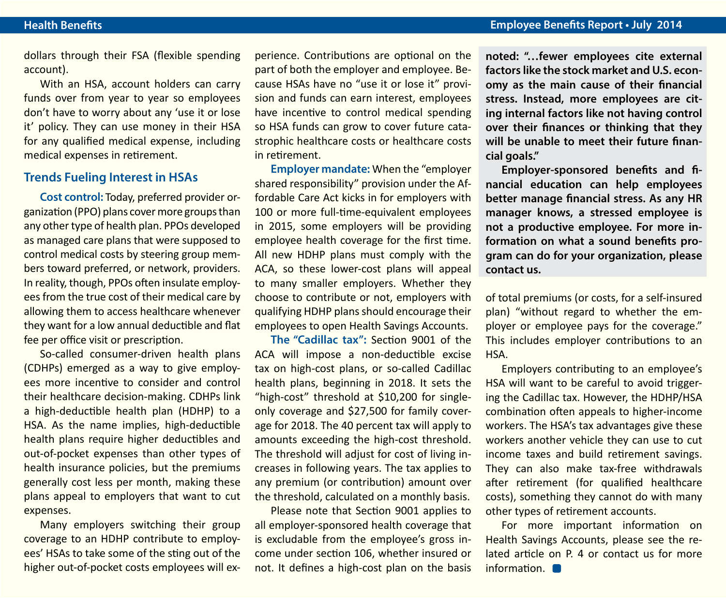dollars through their FSA (flexible spending account).

With an HSA, account holders can carry funds over from year to year so employees don't have to worry about any 'use it or lose it' policy. They can use money in their HSA for any qualified medical expense, including medical expenses in retirement.

#### **Trends Fueling Interest in HSAs**

**Cost control:** Today, preferred provider organization (PPO) plans cover more groups than any other type of health plan. PPOs developed as managed care plans that were supposed to control medical costs by steering group members toward preferred, or network, providers. In reality, though, PPOs often insulate employees from the true cost of their medical care by allowing them to access healthcare whenever they want for a low annual deductible and flat fee per office visit or prescription.

So-called consumer-driven health plans (CDHPs) emerged as a way to give employees more incentive to consider and control their healthcare decision-making. CDHPs link a high-deductible health plan (HDHP) to a HSA. As the name implies, high-deductible health plans require higher deductibles and out-of-pocket expenses than other types of health insurance policies, but the premiums generally cost less per month, making these plans appeal to employers that want to cut expenses.

Many employers switching their group coverage to an HDHP contribute to employees' HSAs to take some of the sting out of the higher out-of-pocket costs employees will experience. Contributions are optional on the part of both the employer and employee. Because HSAs have no "use it or lose it" provision and funds can earn interest, employees have incentive to control medical spending so HSA funds can grow to cover future catastrophic healthcare costs or healthcare costs in retirement.

**Employer mandate:** When the "employer shared responsibility" provision under the Affordable Care Act kicks in for employers with 100 or more full-time-equivalent employees in 2015, some employers will be providing employee health coverage for the first time. All new HDHP plans must comply with the ACA, so these lower-cost plans will appeal to many smaller employers. Whether they choose to contribute or not, employers with qualifying HDHP plans should encourage their employees to open Health Savings Accounts.

**The "Cadillac tax":** Section 9001 of the ACA will impose a non-deductible excise tax on high-cost plans, or so-called Cadillac health plans, beginning in 2018. It sets the "high-cost" threshold at \$10,200 for singleonly coverage and \$27,500 for family coverage for 2018. The 40 percent tax will apply to amounts exceeding the high-cost threshold. The threshold will adjust for cost of living increases in following years. The tax applies to any premium (or contribution) amount over the threshold, calculated on a monthly basis.

Please note that Section 9001 applies to all employer-sponsored health coverage that is excludable from the employee's gross income under section 106, whether insured or not. It defines a high-cost plan on the basis

**noted: "…fewer employees cite external factors like the stock market and U.S. economy as the main cause of their financial stress. Instead, more employees are citing internal factors like not having control over their finances or thinking that they will be unable to meet their future financial goals."**

**Employer-sponsored benefits and financial education can help employees better manage financial stress. As any HR manager knows, a stressed employee is not a productive employee. For more information on what a sound benefits program can do for your organization, please contact us.** 

of total premiums (or costs, for a self-insured plan) "without regard to whether the employer or employee pays for the coverage." This includes employer contributions to an HSA.

Employers contributing to an employee's HSA will want to be careful to avoid triggering the Cadillac tax. However, the HDHP/HSA combination often appeals to higher-income workers. The HSA's tax advantages give these workers another vehicle they can use to cut income taxes and build retirement savings. They can also make tax-free withdrawals after retirement (for qualified healthcare costs), something they cannot do with many other types of retirement accounts.

For more important information on Health Savings Accounts, please see the related article on P. 4 or contact us for more information.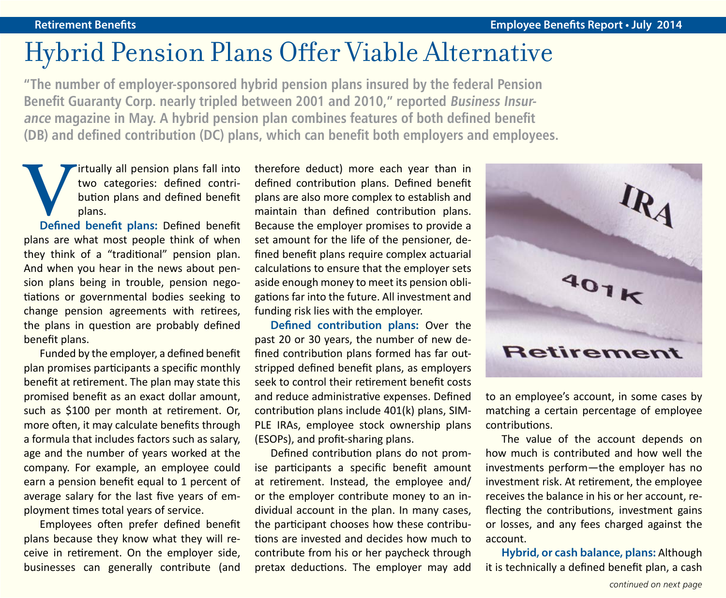### Hybrid Pension Plans Offer Viable Alternative

**"The number of employer-sponsored hybrid pension plans insured by the federal Pension**  Benefit Guaranty Corp. nearly tripled between 2001 and 2010," reported *Business Insur***ance magazine in May. A hybrid pension plan combines features of both defined benefit (DB) and defined contribution (DC) plans, which can benefit both employers and employees.**

**V**irtually all pension plans fall into two categories: defined contribution plans and defined benefit plans.<br>Defined benefit plans: Defined benefit two categories: defined contribution plans and defined benefit plans.

plans are what most people think of when they think of a "traditional" pension plan. And when you hear in the news about pension plans being in trouble, pension negotiations or governmental bodies seeking to change pension agreements with retirees, the plans in question are probably defined benefit plans.

Funded by the employer, a defined benefit plan promises participants a specific monthly benefit at retirement. The plan may state this promised benefit as an exact dollar amount, such as \$100 per month at retirement. Or, more often, it may calculate benefits through a formula that includes factors such as salary, age and the number of years worked at the company. For example, an employee could earn a pension benefit equal to 1 percent of average salary for the last five years of employment times total years of service.

Employees often prefer defined benefit plans because they know what they will receive in retirement. On the employer side, businesses can generally contribute (and therefore deduct) more each year than in defined contribution plans. Defined benefit plans are also more complex to establish and maintain than defined contribution plans. Because the employer promises to provide a set amount for the life of the pensioner, defined benefit plans require complex actuarial calculations to ensure that the employer sets aside enough money to meet its pension obligations far into the future. All investment and funding risk lies with the employer.

**Defined contribution plans:** Over the past 20 or 30 years, the number of new defined contribution plans formed has far outstripped defined benefit plans, as employers seek to control their retirement benefit costs and reduce administrative expenses. Defined contribution plans include 401(k) plans, SIM-PLE IRAs, employee stock ownership plans (ESOPs), and profit-sharing plans.

Defined contribution plans do not promise participants a specific benefit amount at retirement. Instead, the employee and/ or the employer contribute money to an individual account in the plan. In many cases, the participant chooses how these contributions are invested and decides how much to contribute from his or her paycheck through pretax deductions. The employer may add



to an employee's account, in some cases by matching a certain percentage of employee contributions.

The value of the account depends on how much is contributed and how well the investments perform—the employer has no investment risk. At retirement, the employee receives the balance in his or her account, reflecting the contributions, investment gains or losses, and any fees charged against the account.

**Hybrid, or cash balance, plans:** Although it is technically a defined benefit plan, a cash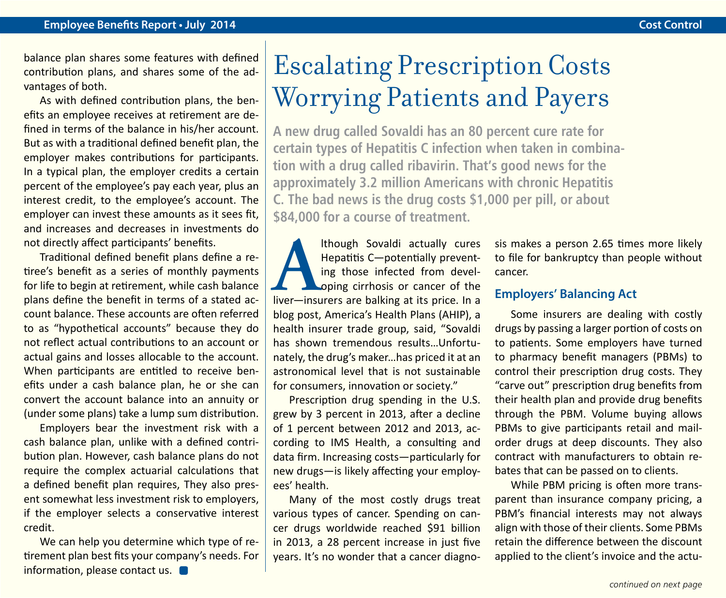balance plan shares some features with defined contribution plans, and shares some of the advantages of both.

As with defined contribution plans, the benefits an employee receives at retirement are defined in terms of the balance in his/her account. But as with a traditional defined benefit plan, the employer makes contributions for participants. In a typical plan, the employer credits a certain percent of the employee's pay each year, plus an interest credit, to the employee's account. The employer can invest these amounts as it sees fit, and increases and decreases in investments do not directly affect participants' benefits.

Traditional defined benefit plans define a retiree's benefit as a series of monthly payments for life to begin at retirement, while cash balance plans define the benefit in terms of a stated account balance. These accounts are often referred to as "hypothetical accounts" because they do not reflect actual contributions to an account or actual gains and losses allocable to the account. When participants are entitled to receive benefits under a cash balance plan, he or she can convert the account balance into an annuity or (under some plans) take a lump sum distribution.

Employers bear the investment risk with a cash balance plan, unlike with a defined contribution plan. However, cash balance plans do not require the complex actuarial calculations that a defined benefit plan requires, They also present somewhat less investment risk to employers, if the employer selects a conservative interest credit.

We can help you determine which type of retirement plan best fits your company's needs. For information, please contact us.

## Escalating Prescription Costs Worrying Patients and Payers

**A new drug called Sovaldi has an 80 percent cure rate for certain types of Hepatitis C infection when taken in combination with a drug called ribavirin. That's good news for the approximately 3.2 million Americans with chronic Hepatitis C. The bad news is the drug costs \$1,000 per pill, or about \$84,000 for a course of treatment.**

**Although Sovaldi actually cures**<br> **Alternative Experiment Although Sovaldi prevent-**<br> **Alternative insurers are balking at its price. In a** Hepatitis C—potentially preventing those infected from devel-**Loping cirrhosis or cancer of the** blog post, America's Health Plans (AHIP), a health insurer trade group, said, "Sovaldi has shown tremendous results…Unfortunately, the drug's maker…has priced it at an astronomical level that is not sustainable for consumers, innovation or society."

Prescription drug spending in the U.S. grew by 3 percent in 2013, after a decline of 1 percent between 2012 and 2013, according to IMS Health, a consulting and data firm. Increasing costs—particularly for new drugs—is likely affecting your employees' health.

Many of the most costly drugs treat various types of cancer. Spending on cancer drugs worldwide reached \$91 billion in 2013, a 28 percent increase in just five years. It's no wonder that a cancer diagnosis makes a person 2.65 times more likely to file for bankruptcy than people without cancer.

### **Employers' Balancing Act**

Some insurers are dealing with costly drugs by passing a larger portion of costs on to patients. Some employers have turned to pharmacy benefit managers (PBMs) to control their prescription drug costs. They "carve out" prescription drug benefits from their health plan and provide drug benefits through the PBM. Volume buying allows PBMs to give participants retail and mailorder drugs at deep discounts. They also contract with manufacturers to obtain rebates that can be passed on to clients.

While PBM pricing is often more transparent than insurance company pricing, a PBM's financial interests may not always align with those of their clients. Some PBMs retain the difference between the discount applied to the client's invoice and the actu-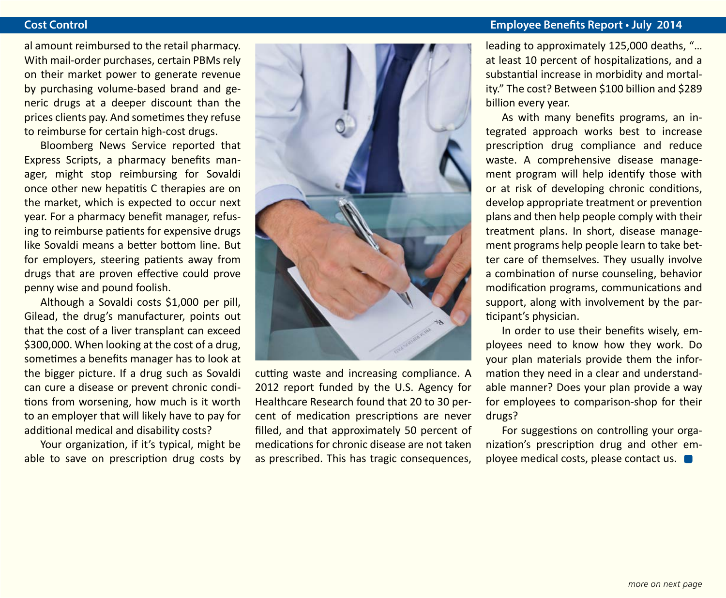al amount reimbursed to the retail pharmacy. With mail-order purchases, certain PBMs rely on their market power to generate revenue by purchasing volume-based brand and generic drugs at a deeper discount than the prices clients pay. And sometimes they refuse to reimburse for certain high-cost drugs.

Bloomberg News Service reported that Express Scripts, a pharmacy benefits manager, might stop reimbursing for Sovaldi once other new hepatitis C therapies are on the market, which is expected to occur next year. For a pharmacy benefit manager, refusing to reimburse patients for expensive drugs like Sovaldi means a better bottom line. But for employers, steering patients away from drugs that are proven effective could prove penny wise and pound foolish.

Although a Sovaldi costs \$1,000 per pill, Gilead, the drug's manufacturer, points out that the cost of a liver transplant can exceed \$300,000. When looking at the cost of a drug, sometimes a benefits manager has to look at the bigger picture. If a drug such as Sovaldi can cure a disease or prevent chronic conditions from worsening, how much is it worth to an employer that will likely have to pay for additional medical and disability costs?

Your organization, if it's typical, might be able to save on prescription drug costs by



cutting waste and increasing compliance. A 2012 report funded by the U.S. Agency for Healthcare Research found that 20 to 30 percent of medication prescriptions are never filled, and that approximately 50 percent of medications for chronic disease are not taken as prescribed. This has tragic consequences,

### **Cost Control Employee Benefits Report • July 2014**

leading to approximately 125,000 deaths, "… at least 10 percent of hospitalizations, and a substantial increase in morbidity and mortality." The cost? Between \$100 billion and \$289 billion every year.

As with many benefits programs, an integrated approach works best to increase prescription drug compliance and reduce waste. A comprehensive disease management program will help identify those with or at risk of developing chronic conditions, develop appropriate treatment or prevention plans and then help people comply with their treatment plans. In short, disease management programs help people learn to take better care of themselves. They usually involve a combination of nurse counseling, behavior modification programs, communications and support, along with involvement by the participant's physician.

In order to use their benefits wisely, employees need to know how they work. Do your plan materials provide them the information they need in a clear and understandable manner? Does your plan provide a way for employees to comparison-shop for their drugs?

For suggestions on controlling your organization's prescription drug and other employee medical costs, please contact us.